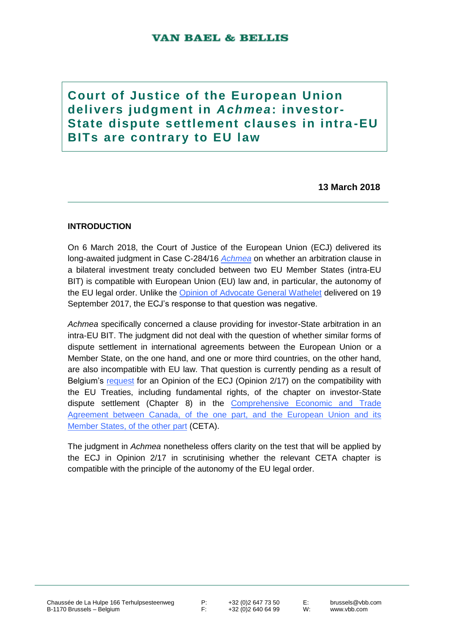# **Court of Justice of the European Union delivers judgment in** *A chme a***: investor-State dispute settlement clauses in intra -EU BITs are contrary to EU law**

**13 March 2018**

# **INTRODUCTION**

On 6 March 2018, the Court of Justice of the European Union (ECJ) delivered its long-awaited judgment in Case C-284/16 *[Achmea](http://curia.europa.eu/juris/document/document.jsf;jsessionid=9ea7d2dc30dd225b55215c3645138611e4e46778ec34.e34KaxiLc3qMb40Rch0SaxyNb3v0?text=&docid=199968&pageIndex=0&doclang=en&mode=req&dir=&occ=first&part=1&cid=1034589)* on whether an arbitration clause in a bilateral investment treaty concluded between two EU Member States (intra-EU BIT) is compatible with European Union (EU) law and, in particular, the autonomy of the EU legal order. Unlike the [Opinion of Advocate General Wathelet](http://curia.europa.eu/juris/document/document.jsf?text=&docid=194583&pageIndex=0&doclang=EN&mode=req&dir=&occ=first&part=1&cid=1052245) delivered on 19 September 2017, the ECJ's response to that question was negative.

*Achmea* specifically concerned a clause providing for investor-State arbitration in an intra-EU BIT. The judgment did not deal with the question of whether similar forms of dispute settlement in international agreements between the European Union or a Member State, on the one hand, and one or more third countries, on the other hand, are also incompatible with EU law. That question is currently pending as a result of Belgium's [request](http://curia.europa.eu/juris/document/document.jsf?text=&docid=196185&pageIndex=0&doclang=EN&mode=lst&dir=&occ=first&part=1&cid=1054714) for an Opinion of the ECJ (Opinion 2/17) on the compatibility with the EU Treaties, including fundamental rights, of the chapter on investor-State dispute settlement (Chapter 8) in the [Comprehensive Economic and Trade](http://ec.europa.eu/trade/policy/in-focus/ceta/ceta-chapter-by-chapter/)  Agreement between Canada, of the one part, and the European Union and its [Member States, of the other part](http://ec.europa.eu/trade/policy/in-focus/ceta/ceta-chapter-by-chapter/) (CETA).

The judgment in *Achmea* nonetheless offers clarity on the test that will be applied by the ECJ in Opinion 2/17 in scrutinising whether the relevant CETA chapter is compatible with the principle of the autonomy of the EU legal order.

P: +32 (0) 2 647 73 50<br>F: +32 (0) 2 640 64 99 +32 (0) 2 640 64 99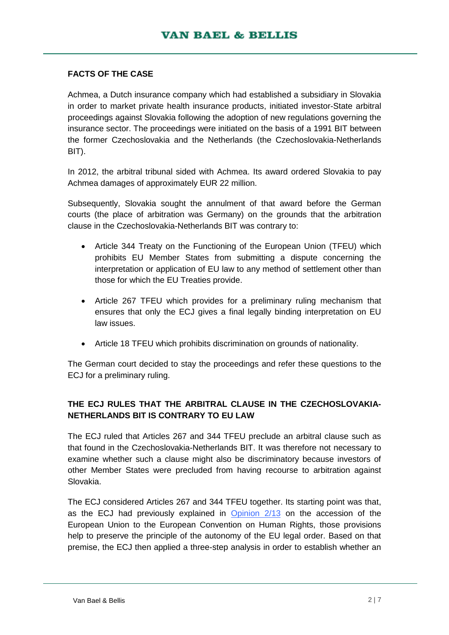## **FACTS OF THE CASE**

Achmea, a Dutch insurance company which had established a subsidiary in Slovakia in order to market private health insurance products, initiated investor-State arbitral proceedings against Slovakia following the adoption of new regulations governing the insurance sector. The proceedings were initiated on the basis of a 1991 BIT between the former Czechoslovakia and the Netherlands (the Czechoslovakia-Netherlands BIT).

In 2012, the arbitral tribunal sided with Achmea. Its award ordered Slovakia to pay Achmea damages of approximately EUR 22 million.

Subsequently, Slovakia sought the annulment of that award before the German courts (the place of arbitration was Germany) on the grounds that the arbitration clause in the Czechoslovakia-Netherlands BIT was contrary to:

- Article 344 Treaty on the Functioning of the European Union (TFEU) which prohibits EU Member States from submitting a dispute concerning the interpretation or application of EU law to any method of settlement other than those for which the EU Treaties provide.
- Article 267 TFEU which provides for a preliminary ruling mechanism that ensures that only the ECJ gives a final legally binding interpretation on EU law issues.
- Article 18 TFEU which prohibits discrimination on grounds of nationality.

The German court decided to stay the proceedings and refer these questions to the ECJ for a preliminary ruling.

# **THE ECJ RULES THAT THE ARBITRAL CLAUSE IN THE CZECHOSLOVAKIA-NETHERLANDS BIT IS CONTRARY TO EU LAW**

The ECJ ruled that Articles 267 and 344 TFEU preclude an arbitral clause such as that found in the Czechoslovakia-Netherlands BIT. It was therefore not necessary to examine whether such a clause might also be discriminatory because investors of other Member States were precluded from having recourse to arbitration against Slovakia.

The ECJ considered Articles 267 and 344 TFEU together. Its starting point was that, as the ECJ had previously explained in [Opinion 2/13](http://curia.europa.eu/juris/document/document.jsf?docid=160882&doclang=EN) on the accession of the European Union to the European Convention on Human Rights, those provisions help to preserve the principle of the autonomy of the EU legal order. Based on that premise, the ECJ then applied a three-step analysis in order to establish whether an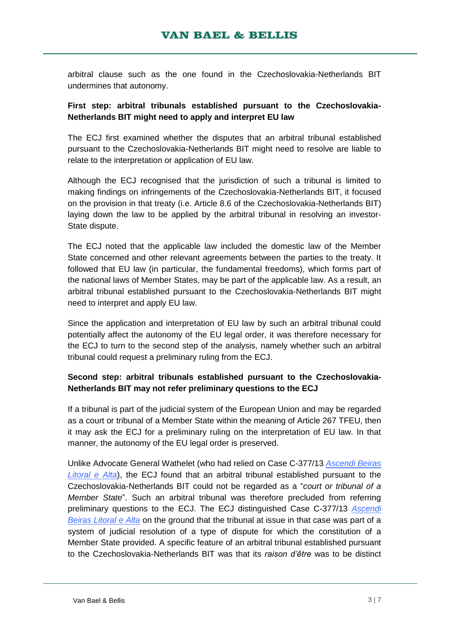arbitral clause such as the one found in the Czechoslovakia-Netherlands BIT undermines that autonomy.

## **First step: arbitral tribunals established pursuant to the Czechoslovakia-Netherlands BIT might need to apply and interpret EU law**

The ECJ first examined whether the disputes that an arbitral tribunal established pursuant to the Czechoslovakia-Netherlands BIT might need to resolve are liable to relate to the interpretation or application of EU law.

Although the ECJ recognised that the jurisdiction of such a tribunal is limited to making findings on infringements of the Czechoslovakia-Netherlands BIT, it focused on the provision in that treaty (i.e. Article 8.6 of the Czechoslovakia-Netherlands BIT) laying down the law to be applied by the arbitral tribunal in resolving an investor-State dispute.

The ECJ noted that the applicable law included the domestic law of the Member State concerned and other relevant agreements between the parties to the treaty. It followed that EU law (in particular, the fundamental freedoms), which forms part of the national laws of Member States, may be part of the applicable law. As a result, an arbitral tribunal established pursuant to the Czechoslovakia-Netherlands BIT might need to interpret and apply EU law.

Since the application and interpretation of EU law by such an arbitral tribunal could potentially affect the autonomy of the EU legal order, it was therefore necessary for the ECJ to turn to the second step of the analysis, namely whether such an arbitral tribunal could request a preliminary ruling from the ECJ.

# **Second step: arbitral tribunals established pursuant to the Czechoslovakia-Netherlands BIT may not refer preliminary questions to the ECJ**

If a tribunal is part of the judicial system of the European Union and may be regarded as a court or tribunal of a Member State within the meaning of Article 267 TFEU, then it may ask the ECJ for a preliminary ruling on the interpretation of EU law. In that manner, the autonomy of the EU legal order is preserved.

Unlike Advocate General Wathelet (who had relied on Case C-377/13 *[Ascendi Beiras](http://curia.europa.eu/juris/document/document.jsf?text=&docid=153582&pageIndex=0&doclang=en&mode=lst&dir=&occ=first&part=1&cid=1056912)  [Litoral e Alta](http://curia.europa.eu/juris/document/document.jsf?text=&docid=153582&pageIndex=0&doclang=en&mode=lst&dir=&occ=first&part=1&cid=1056912)*), the ECJ found that an arbitral tribunal established pursuant to the Czechoslovakia-Netherlands BIT could not be regarded as a "*court or tribunal of a Member State*". Such an arbitral tribunal was therefore precluded from referring preliminary questions to the ECJ. The ECJ distinguished Case C-377/13 *[Ascendi](http://curia.europa.eu/juris/document/document.jsf?text=&docid=153582&pageIndex=0&doclang=en&mode=lst&dir=&occ=first&part=1&cid=1056912)  [Beiras Litoral e Alta](http://curia.europa.eu/juris/document/document.jsf?text=&docid=153582&pageIndex=0&doclang=en&mode=lst&dir=&occ=first&part=1&cid=1056912)* on the ground that the tribunal at issue in that case was part of a system of judicial resolution of a type of dispute for which the constitution of a Member State provided. A specific feature of an arbitral tribunal established pursuant to the Czechoslovakia-Netherlands BIT was that its *raison d'être* was to be distinct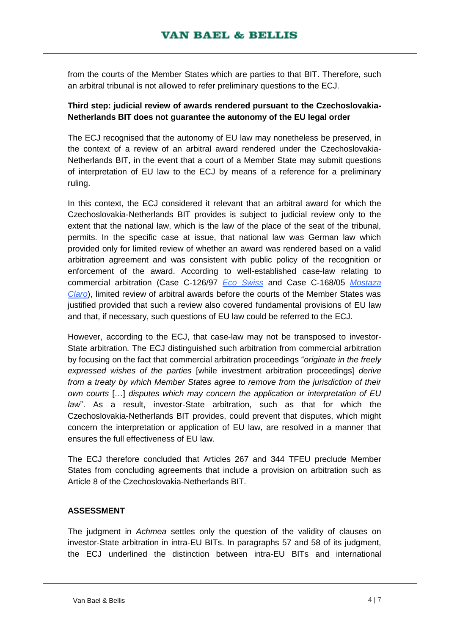from the courts of the Member States which are parties to that BIT. Therefore, such an arbitral tribunal is not allowed to refer preliminary questions to the ECJ.

## **Third step: judicial review of awards rendered pursuant to the Czechoslovakia-Netherlands BIT does not guarantee the autonomy of the EU legal order**

The ECJ recognised that the autonomy of EU law may nonetheless be preserved, in the context of a review of an arbitral award rendered under the Czechoslovakia-Netherlands BIT, in the event that a court of a Member State may submit questions of interpretation of EU law to the ECJ by means of a reference for a preliminary ruling.

In this context, the ECJ considered it relevant that an arbitral award for which the Czechoslovakia-Netherlands BIT provides is subject to judicial review only to the extent that the national law, which is the law of the place of the seat of the tribunal, permits. In the specific case at issue, that national law was German law which provided only for limited review of whether an award was rendered based on a valid arbitration agreement and was consistent with public policy of the recognition or enforcement of the award. According to well-established case-law relating to commercial arbitration (Case C-126/97 *[Eco Swiss](http://curia.europa.eu/juris/document/document.jsf?text=&docid=44616&pageIndex=0&doclang=en&mode=lst&dir=&occ=first&part=1&cid=1062587)* and Case C-168/05 *[Mostaza](file:///C:/Users/decleve/AppData/Local/Microsoft/Windows/Temporary%20Internet%20Files/Content.Outlook/074JYZOQ/C-168/05%20Mostaza%20Claro)  [Claro](file:///C:/Users/decleve/AppData/Local/Microsoft/Windows/Temporary%20Internet%20Files/Content.Outlook/074JYZOQ/C-168/05%20Mostaza%20Claro)*), limited review of arbitral awards before the courts of the Member States was justified provided that such a review also covered fundamental provisions of EU law and that, if necessary, such questions of EU law could be referred to the ECJ.

However, according to the ECJ, that case-law may not be transposed to investor-State arbitration. The ECJ distinguished such arbitration from commercial arbitration by focusing on the fact that commercial arbitration proceedings "*originate in the freely expressed wishes of the parties* [while investment arbitration proceedings] *derive from a treaty by which Member States agree to remove from the jurisdiction of their own courts* […] *disputes which may concern the application or interpretation of EU law*". As a result, investor-State arbitration, such as that for which the Czechoslovakia-Netherlands BIT provides, could prevent that disputes, which might concern the interpretation or application of EU law, are resolved in a manner that ensures the full effectiveness of EU law.

The ECJ therefore concluded that Articles 267 and 344 TFEU preclude Member States from concluding agreements that include a provision on arbitration such as Article 8 of the Czechoslovakia-Netherlands BIT.

#### **ASSESSMENT**

The judgment in *Achmea* settles only the question of the validity of clauses on investor-State arbitration in intra-EU BITs. In paragraphs 57 and 58 of its judgment, the ECJ underlined the distinction between intra-EU BITs and international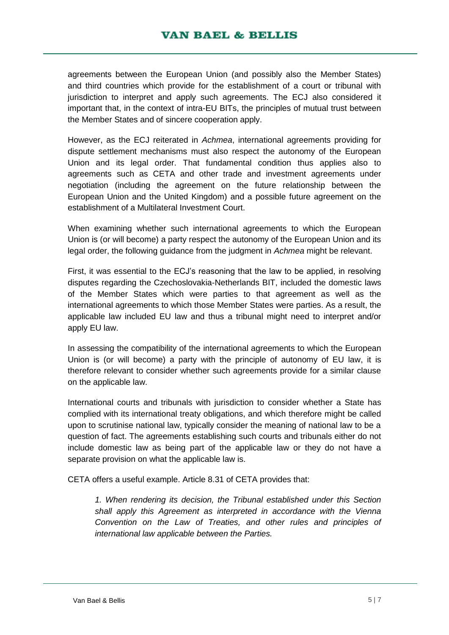agreements between the European Union (and possibly also the Member States) and third countries which provide for the establishment of a court or tribunal with jurisdiction to interpret and apply such agreements. The ECJ also considered it important that, in the context of intra-EU BITs, the principles of mutual trust between the Member States and of sincere cooperation apply.

However, as the ECJ reiterated in *Achmea*, international agreements providing for dispute settlement mechanisms must also respect the autonomy of the European Union and its legal order. That fundamental condition thus applies also to agreements such as CETA and other trade and investment agreements under negotiation (including the agreement on the future relationship between the European Union and the United Kingdom) and a possible future agreement on the establishment of a Multilateral Investment Court.

When examining whether such international agreements to which the European Union is (or will become) a party respect the autonomy of the European Union and its legal order, the following guidance from the judgment in *Achmea* might be relevant.

First, it was essential to the ECJ's reasoning that the law to be applied, in resolving disputes regarding the Czechoslovakia-Netherlands BIT, included the domestic laws of the Member States which were parties to that agreement as well as the international agreements to which those Member States were parties. As a result, the applicable law included EU law and thus a tribunal might need to interpret and/or apply EU law.

In assessing the compatibility of the international agreements to which the European Union is (or will become) a party with the principle of autonomy of EU law, it is therefore relevant to consider whether such agreements provide for a similar clause on the applicable law.

International courts and tribunals with jurisdiction to consider whether a State has complied with its international treaty obligations, and which therefore might be called upon to scrutinise national law, typically consider the meaning of national law to be a question of fact. The agreements establishing such courts and tribunals either do not include domestic law as being part of the applicable law or they do not have a separate provision on what the applicable law is.

CETA offers a useful example. Article 8.31 of CETA provides that:

*1. When rendering its decision, the Tribunal established under this Section shall apply this Agreement as interpreted in accordance with the Vienna Convention on the Law of Treaties, and other rules and principles of international law applicable between the Parties.*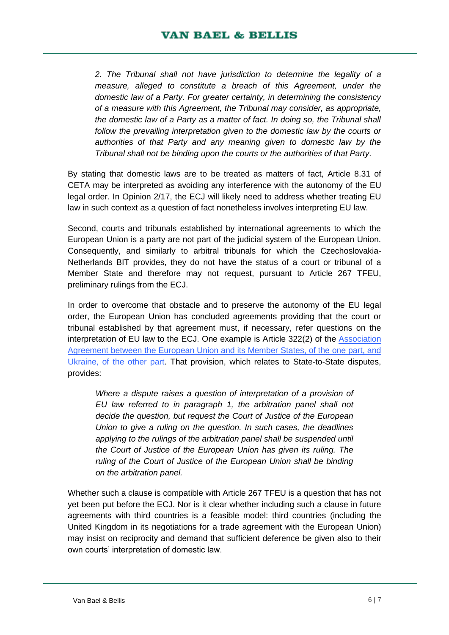*2. The Tribunal shall not have jurisdiction to determine the legality of a measure, alleged to constitute a breach of this Agreement, under the domestic law of a Party. For greater certainty, in determining the consistency of a measure with this Agreement, the Tribunal may consider, as appropriate, the domestic law of a Party as a matter of fact. In doing so, the Tribunal shall*  follow the prevailing interpretation given to the domestic law by the courts or *authorities of that Party and any meaning given to domestic law by the Tribunal shall not be binding upon the courts or the authorities of that Party.*

By stating that domestic laws are to be treated as matters of fact, Article 8.31 of CETA may be interpreted as avoiding any interference with the autonomy of the EU legal order. In Opinion 2/17, the ECJ will likely need to address whether treating EU law in such context as a question of fact nonetheless involves interpreting EU law.

Second, courts and tribunals established by international agreements to which the European Union is a party are not part of the judicial system of the European Union. Consequently, and similarly to arbitral tribunals for which the Czechoslovakia-Netherlands BIT provides, they do not have the status of a court or tribunal of a Member State and therefore may not request, pursuant to Article 267 TFEU, preliminary rulings from the ECJ.

In order to overcome that obstacle and to preserve the autonomy of the EU legal order, the European Union has concluded agreements providing that the court or tribunal established by that agreement must, if necessary, refer questions on the interpretation of EU law to the ECJ. One example is Article 322(2) of the [Association](http://trade.ec.europa.eu/doclib/docs/2016/november/tradoc_155103.pdf)  Agreement between the [European Union and its Member States, of the one part, and](http://trade.ec.europa.eu/doclib/docs/2016/november/tradoc_155103.pdf)  [Ukraine, of the other part.](http://trade.ec.europa.eu/doclib/docs/2016/november/tradoc_155103.pdf) That provision, which relates to State-to-State disputes, provides:

*Where a dispute raises a question of interpretation of a provision of EU law referred to in paragraph 1, the arbitration panel shall not decide the question, but request the Court of Justice of the European Union to give a ruling on the question. In such cases, the deadlines*  applying to the rulings of the arbitration panel shall be suspended until *the Court of Justice of the European Union has given its ruling. The ruling of the Court of Justice of the European Union shall be binding on the arbitration panel.*

Whether such a clause is compatible with Article 267 TFEU is a question that has not yet been put before the ECJ. Nor is it clear whether including such a clause in future agreements with third countries is a feasible model: third countries (including the United Kingdom in its negotiations for a trade agreement with the European Union) may insist on reciprocity and demand that sufficient deference be given also to their own courts' interpretation of domestic law.